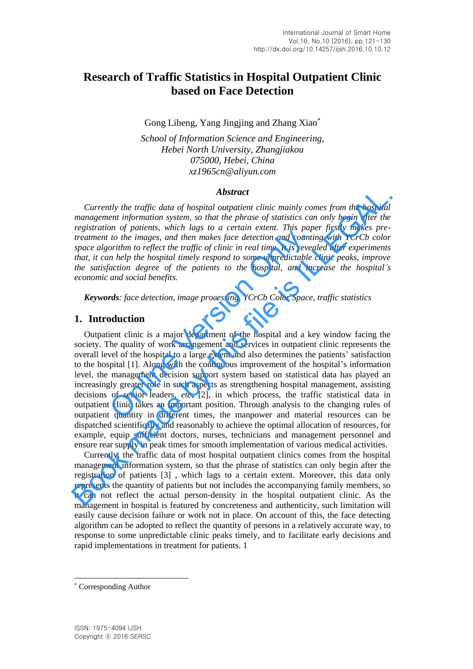# **Research of Traffic Statistics in Hospital Outpatient Clinic based on Face Detection**

Gong Liheng, Yang Jingjing and Zhang Xiao\*

*School of Information Science and Engineering, Hebei North University, Zhangjiakou 075000, Hebei, China xz1965cn@aliyun.com*

## *Abstract*

*Currently the traffic data of hospital outpatient clinic mainly comes from the hospital management information system, so that the phrase of statistics can only begin after the registration of patients, which lags to a certain extent. This paper firstly makes pretreatment to the images, and then makes face detection and counting with YCrCb color space algorithm to reflect the traffic of clinic in real time. It is revealed after experiments that, it can help the hospital timely respond to some unpredictable clinic peaks, improve the satisfaction degree of the patients to the hospital, and increase the hospital's economic and social benefits.*

*Keywords: face detection, image processing, YCrCb Color Space, traffic statistics*

## **1. Introduction**

Outpatient clinic is a major department of the hospital and a key window facing the society. The quality of work arrangement and services in outpatient clinic represents the overall level of the hospital to a large extent and also determines the patients' satisfaction to the hospital [1]. Along with the continuous improvement of the hospital's information level, the management decision support system based on statistical data has played an increasingly greater role in such aspects as strengthening hospital management, assisting decisions of senior leaders, *etc*. [2], in which process, the traffic statistical data in outpatient clinic takes an important position. Through analysis to the changing rules of outpatient quantity in different times, the manpower and material resources can be dispatched scientifically and reasonably to achieve the optimal allocation of resources, for example, equip sufficient doctors, nurses, technicians and management personnel and ensure rear supply in peak times for smooth implementation of various medical activities. or  $\sigma$  paircans, when rags and then makes face detection and countin-<br>to the images, and then makes face detection and countin-<br>orithm to reflect the traffic of clinic in real time. It is revear<br>help the hospital timely **Abstract**<br>**Abstract**<br>**Abstract**<br>**Book management injormation system, so that the phrase of statistics can only begin after the<br>registration of patients, which lags to a certain extent. This paper firstly makes pre-<br>reatm** 

Currently, the traffic data of most hospital outpatient clinics comes from the hospital management information system, so that the phrase of statistics can only begin after the registration of patients [3] , which lags to a certain extent. Moreover, this data only represents the quantity of patients but not includes the accompanying family members, so it can not reflect the actual person-density in the hospital outpatient clinic. As the management in hospital is featured by concreteness and authenticity, such limitation will easily cause decision failure or work not in place. On account of this, the face detecting algorithm can be adopted to reflect the quantity of persons in a relatively accurate way, to response to some unpredictable clinic peaks timely, and to facilitate early decisions and rapid implementations in treatment for patients. 1

l

<sup>\*</sup> Corresponding Author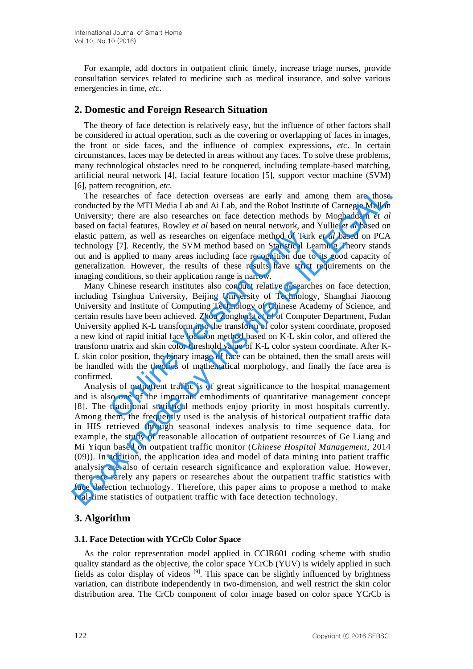For example, add doctors in outpatient clinic timely, increase triage nurses, provide consultation services related to medicine such as medical insurance, and solve various emergencies in time, *etc*.

## **2. Domestic and For**e**ign Research Situation**

The theory of face detection is relatively easy, but the influence of other factors shall be considered in actual operation, such as the covering or overlapping of faces in images, the front or side faces, and the influence of complex expressions, *etc*. In certain circumstances, faces may be detected in areas without any faces. To solve these problems, many technological obstacles need to be conquered, including template-based matching, artificial neural network [4], facial feature location [5], support vector machine (SVM) [6], pattern recognition, *etc*.

The researches of face detection overseas are early and among them are those conducted by the MTI Media Lab and Ai Lab, and the Robot Institute of Carnegie Mellon University; there are also researches on face detection methods by Moghaddam *et al* based on facial features, Rowley *et al* based on neural network, and Yullie *et al* based on elastic pattern, as well as researches on eigenface method of Turk *et al* based on PCA technology [7]. Recently, the SVM method based on Statistical Learning Theory stands out and is applied to many areas including face recognition due to its good capacity of generalization. However, the results of these results have strict requirements on the imaging conditions, so their application range is narrow.

Many Chinese research institutes also conduct relative researches on face detection, including Tsinghua University, Beijing University of Technology, Shanghai Jiaotong University and Institute of Computing Technology of Chinese Academy of Science, and certain results have been achieved. Zhou Zongheng *et al* of Computer Department, Fudan University applied K-L transform into the transform of color system coordinate, proposed a new kind of rapid initial face location method based on K-L skin color, and offered the transform matrix and skin color threshold value of K-L color system coordinate. After K-L skin color position, the binary image of face can be obtained, then the small areas will be handled with the theories of mathematical morphology, and finally the face area is confirmed. ttern, as well as researches on eigenface method of Turk<br>y [7]. Recently, the SVM method based on Statistical Le<br>s applied to many areas including face recognition due to<br>tuion. However, the results of these results have s

Analysis of outpatient traffic is of great significance to the hospital management and is also one of the important embodiments of quantitative management concept [8]. The traditional statistical methods enjoy priority in most hospitals currently. Among them, the frequently used is the analysis of historical outpatient traffic data in HIS retrieved through seasonal indexes analysis to time sequence data, for example, the study of reasonable allocation of outpatient resources of Ge Liang and Mi Yiqun based on outpatient traffic monitor (*Chinese Hospital Management*, 2014 (09)). In addition, the application idea and model of data mining into patient traffic analysis are also of certain research significance and exploration value. However, there are rarely any papers or researches about the outpatient traffic statistics with face detection technology. Therefore, this paper aims to propose a method to make real-time statistics of outpatient traffic with face detection technology. The researches of face detection overseas are early and among them are those conducted by the MTI Media Lab and Ai Lab, and the Robot Institute of Carnegie Mellon at different increases, Rowley et al based on freed by the

## **3. Algorithm**

## **3.1. Face Detection with YCrCb Color Space**

As the color representation model applied in CCIR601 coding scheme with studio quality standard as the objective, the color space YCrCb (YUV) is widely applied in such fields as color display of videos [9]. This space can be slightly influenced by brightness variation, can distribute independently in two-dimension, and well restrict the skin color distribution area. The CrCb component of color image based on color space YCrCb is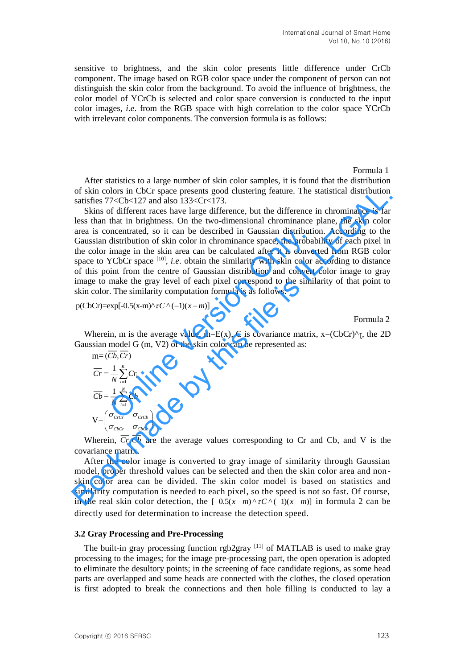sensitive to brightness, and the skin color presents little difference under CrCb component. The image based on RGB color space under the component of person can not distinguish the skin color from the background. To avoid the influence of brightness, the color model of YCrCb is selected and color space conversion is conducted to the input color images, *i.e*. from the RGB space with high correlation to the color space YCrCb with irrelevant color components. The conversion formula is as follows:

Formula 1

After statistics to a large number of skin color samples, it is found that the distribution of skin colors in CbCr space presents good clustering feature. The statistical distribution satisfies  $77 < Cb < 127$  and also  $133 < Cr < 173$ .

s in CbCr space presents good clustering feature. The statistical distribution<br>
Cb<127 and also 133<Cr<173.<br>
fiferent races have large difference, but the difference in chrominance is far<br>
fiferent races have large differ Skins of different races have large difference, but the difference in chrominance is far less than that in brightness. On the two-dimensional chrominance plane, the skin color area is concentrated, so it can be described in Gaussian distribution. According to the Gaussian distribution of skin color in chrominance space, the probability of each pixel in the color image in the skin area can be calculated after it is converted from RGB color space to YCbCr space  $[10]$ , *i.e.* obtain the similarity with skin color according to distance of this point from the centre of Gaussian distribution and convert color image to gray image to make the gray level of each pixel correspond to the similarity of that point to skin color. The similarity computation formula is as follows: oncentrated, so it can be described in Gaussian distribution<br>distribution of skin color in chrominance space, the probal<br>image in the skin area can be calculated after it is convex<br>YCbCr space <sup>[10]</sup>, *i.e.* obtain the si of skin colors in CbCr space persents good clustering feature. The statistical distribution<br>statisfies 77<Cb-127 and also 133-cGr<173.<br>Skins of different races have large difference, but the difference in chrominance is f

 $p(CbCr)=exp[-0.5(x-m)^{2} \tau C^{(1)}(-1)(x-m)]$ 

Formula 2

Wherein, m is the average value, m=E(x), C is covariance matrix,  $x=(CbCr)^{n}r$ , the 2D Gaussian model G (m, V2) of the skin color can be represented as:

$$
m = (Cb, Cr)
$$
  
\n
$$
\overline{Cr} = \frac{1}{N} \sum_{i=1}^{K} Cr_i
$$
  
\n
$$
\overline{Cb} = \frac{1}{N} \sum_{i=1}^{N} Cb_i
$$
  
\n
$$
V = \begin{pmatrix} \sigma_{CrCr} & \sigma_{CrCb} \\ \sigma_{ChCr} & \sigma_{ChCb} \end{pmatrix}
$$

Wherein,  $Cr$ ,  $Cb$  are the average values corresponding to  $Cr$  and  $Cb$ , and  $V$  is the covariance matrix.

After the color image is converted to gray image of similarity through Gaussian model, proper threshold values can be selected and then the skin color area and nonskin color area can be divided. The skin color model is based on statistics and similarity computation is needed to each pixel, so the speed is not so fast. Of course, in the real skin color detection, the  $[-0.5(x-m)^{2} \tau C^{(n)}(-1)(x-m)]$  in formula 2 can be directly used for determination to increase the detection speed.

### **3.2 Gray Processing and Pre-Processing**

ocessing and Pre-Processing<br>
in gray processing function rgb2gray <sup>[11]</sup> of MATLAB is used to make gray<br>
b the images; for the image pre-processing part, the open operation is adopted<br>
the desultory points; in the screenin The built-in gray processing function rgb2gray  $[11]$  of MATLAB is used to make gray processing to the images; for the image pre-processing part, the open operation is adopted to eliminate the desultory points; in the screening of face candidate regions, as some head parts are overlapped and some heads are connected with the clothes, the closed operation is first adopted to break the connections and then hole filling is conducted to lay a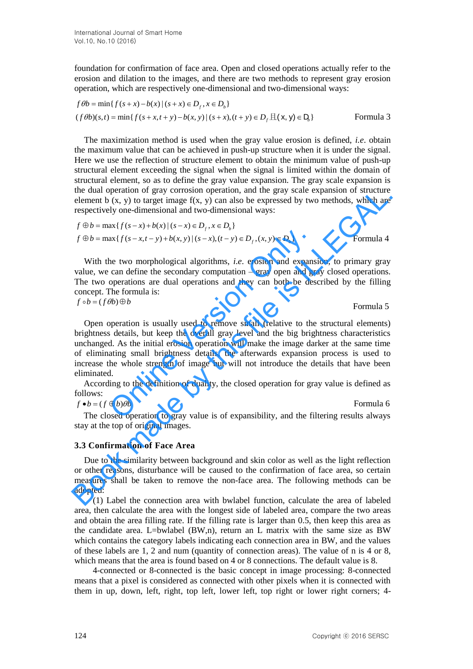foundation for confirmation of face area. Open and closed operations actually refer to the erosion and dilation to the images, and there are two methods to represent gray erosion operation, which are respectively one-dimensional and two-dimensional ways:

$$
f\theta b = \min\{f(s+x) - b(x) | (s+x) \in D_f, x \in D_b\}
$$
  
(*f*  $\theta$ *b*)(*s*,*t*) =  $\min\{f(s+x,t+y) - b(x,y) | (s+x), (t+y) \in D_f \mathbb{H}(\mathbf{x}, \mathbf{y}) \in D_b\}$  Formula 3

The maximization method is used when the gray value erosion is defined, *i.e*. obtain the maximum value that can be achieved in push-up structure when it is under the signal. Here we use the reflection of structure element to obtain the minimum value of push-up structural element exceeding the signal when the signal is limited within the domain of structural element, so as to define the gray value expansion. The gray scale expansion is the dual operation of gray corrosion operation, and the gray scale expansion of structure element b  $(x, y)$  to target image  $f(x, y)$  can also be expressed by two methods, which are respectively one-dimensional and two-dimensional ways:

$$
f \oplus b = \max\{f(s-x) + b(x) | (s-x) \in D_f, x \in D_b\}
$$
  

$$
f \oplus b = \max\{f(s-x,t-y) + b(x,y) | (s-x), (t-y) \in D_f, (x,y) \in D_b\}
$$
Formula 4

With the two morphological algorithms, *i.e*. erosion and expansion, to primary gray value, we can define the secondary computation – gray open and gray closed operations. The two operations are dual operations and they can both be described by the filling concept. The formula is:  $f \circ b = (f \theta b) \oplus b$ 

Formula 5

Open operation is usually used to remove small (relative to the structural elements) brightness details, but keep the overall gray level and the big brightness characteristics unchanged. As the initial erosion operation will make the image darker at the same time of eliminating small brightness details, the afterwards expansion process is used to increase the whole strength of image but will not introduce the details that have been eliminated. ax $\{f(s-x,t-y)+b(x,y) | (s-x), (t-y) \in D_f, (x,y) \in D_b\}$ <br>he two morphological algorithms, *i.e.* erosion and expans<br>can define the secondary computation – gray open and gr<br>operations are dual operations and they can both be des<br>the formu the dual operation of gray corresor operation, and the gray scale expansion of structure<br>the element b (x, y) to target image f(x, y) can also be expressed by two methods, which are<br>respectively one-dimensional and two-di

According to the definition of duality, the closed operation for gray value is defined as follows:

$$
f \bullet b = (f \oplus b)\theta b \qquad \qquad \text{Formula 6}
$$

The closed operation to gray value is of expansibility, and the filtering results always stay at the top of original images.

#### **3.3 Confirmation of Face Area**

Due to the similarity between background and skin color as well as the light reflection or other reasons, disturbance will be caused to the confirmation of face area, so certain measures shall be taken to remove the non-face area. The following methods can be adopted:

 (1) Label the connection area with bwlabel function, calculate the area of labeled area, then calculate the area with the longest side of labeled area, compare the two areas and obtain the area filling rate. If the filling rate is larger than 0.5, then keep this area as the candidate area. L=bwlabel  $(BW,n)$ , return an L matrix with the same size as BW which contains the category labels indicating each connection area in BW, and the values of these labels are 1, 2 and num (quantity of connection areas). The value of n is 4 or 8, which means that the area is found based on 4 or 8 connections. The default value is 8.

 4-connected or 8-connected is the basic concept in image processing: 8-connected means that a pixel is considered as connected with other pixels when it is connected with them in up, down, left, right, top left, lower left, top right or lower right corners; 4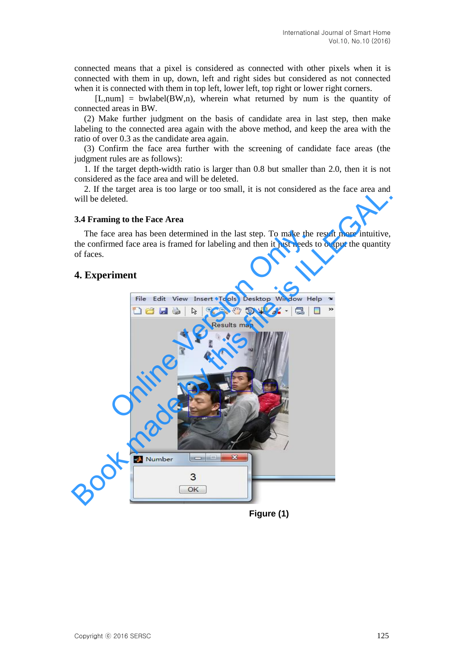connected means that a pixel is considered as connected with other pixels when it is connected with them in up, down, left and right sides but considered as not connected when it is connected with them in top left, lower left, top right or lower right corners.

 $[L, num] = bulk[BW, n]$ , wherein what returned by num is the quantity of connected areas in BW.

(2) Make further judgment on the basis of candidate area in last step, then make labeling to the connected area again with the above method, and keep the area with the ratio of over 0.3 as the candidate area again.

(3) Confirm the face area further with the screening of candidate face areas (the judgment rules are as follows):

1. If the target depth-width ratio is larger than 0.8 but smaller than 2.0, then it is not considered as the face area and will be deleted.

2. If the target area is too large or too small, it is not considered as the face area and will be deleted.

#### **3.4 Framing to the Face Area**

The face area has been determined in the last step. To make the result more intuitive, the confirmed face area is framed for labeling and then it just needs to output the quantity of faces.

## **4. Experiment**



**Figure (1)**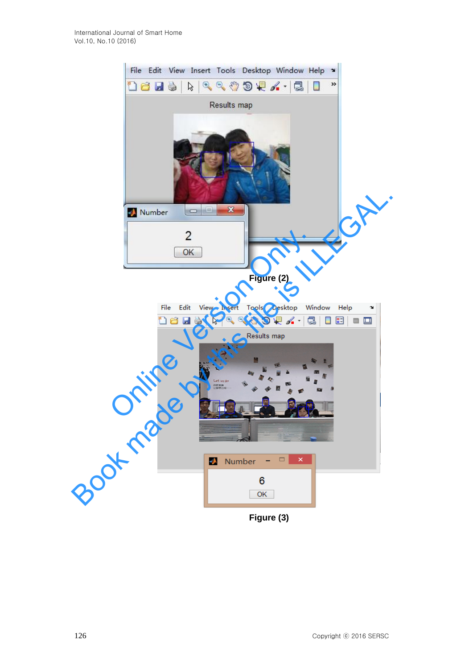

**Figure (2)**

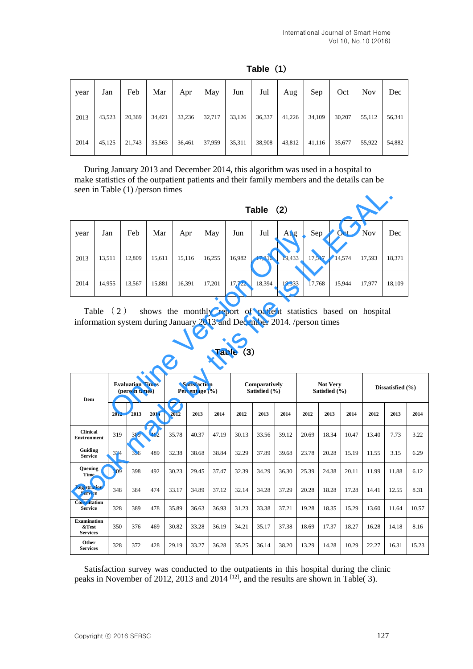| year | Jan    | Feb    | Mar    | Apr    | May    | Jun    | Jul    | Aug    | Sep    | Oct    | <b>Nov</b> | Dec    |
|------|--------|--------|--------|--------|--------|--------|--------|--------|--------|--------|------------|--------|
| 2013 | 43,523 | 20,369 | 34.421 | 33,236 | 32,717 | 33,126 | 36,337 | 41,226 | 34,109 | 30,207 | 55,112     | 56,341 |
| 2014 | 45,125 | 21,743 | 35,563 | 36,461 | 37,959 | 35,311 | 38,908 | 43,812 | 41,116 | 35,677 | 55,922     | 54,882 |

## **Table**(**1**)

During January 2013 and December 2014, this algorithm was used in a hospital to make statistics of the outpatient patients and their family members and the details can be seen in Table (1) /person times

| (2) | <b>Table</b> |  |
|-----|--------------|--|
|     |              |  |

| year | Jan                                                                                                                                                                       | Feb                                       |  | Mar    | Apr                                       |      | May    | Jun    | Jul                            | Aug    | Sep    |                                  | Oct    | <b>Nov</b> | Dec            |  |
|------|---------------------------------------------------------------------------------------------------------------------------------------------------------------------------|-------------------------------------------|--|--------|-------------------------------------------|------|--------|--------|--------------------------------|--------|--------|----------------------------------|--------|------------|----------------|--|
| 2013 | 13,511                                                                                                                                                                    | 12,809                                    |  | 15,611 | 15,116                                    |      | 16,255 | 16,982 | 17,316                         | 19,433 | 17,517 |                                  | 14,574 | 17,593     | 18,371         |  |
| 2014 | 14,955                                                                                                                                                                    | 13,567                                    |  | 15.881 | 16.391                                    |      | 17.201 | 17.722 | 18.394                         | 19,333 | 17.768 |                                  | 15.944 | 17,977     | 18.109         |  |
|      | Table $(2)$<br>shows the monthly report of patient statistics based on hospital<br>information system during January 2013 and December 2014. /person times<br>Table $(3)$ |                                           |  |        |                                           |      |        |        |                                |        |        |                                  |        |            |                |  |
| Item |                                                                                                                                                                           | <b>Evaluation Times</b><br>(person times) |  |        | <b>Satisfaction</b><br>Percentage $(\% )$ |      |        |        | Comparatively<br>Satisfied (%) |        |        | <b>Not Very</b><br>Satisfied (%) |        |            | Dissatisfied ( |  |
|      |                                                                                                                                                                           | 2012<br>2013                              |  | 2014   | 2012                                      | 2013 | 2014   | 2012   | 2013                           | 2014   | 2012   | 2013                             | 2014   | 2012       | 2013           |  |

| seen in Table (1)/person times          |                   |      |                                           |            |        |                                           |        |                                                                                        |                                |        |        |                                  |        |                                                                  |                      |       |
|-----------------------------------------|-------------------|------|-------------------------------------------|------------|--------|-------------------------------------------|--------|----------------------------------------------------------------------------------------|--------------------------------|--------|--------|----------------------------------|--------|------------------------------------------------------------------|----------------------|-------|
|                                         |                   |      |                                           |            |        |                                           |        |                                                                                        | Table $(2)$                    |        |        |                                  |        |                                                                  |                      |       |
| year                                    | Mar<br>Jan<br>Feb |      |                                           | May<br>Apr |        | Jun                                       | Jul    | Aug                                                                                    | Sep                            |        | Oct    | Nov                              | Dec    |                                                                  |                      |       |
| 2013                                    | 13,511            |      | 12,809                                    | 15,611     | 15,116 |                                           | 16,255 | 16,982                                                                                 | 17,316                         | 19,433 | 17,517 |                                  | 14,574 | 17,593                                                           | 18,371               |       |
| 2014<br>14,955                          |                   |      | 13,567                                    | 15,881     | 16,391 |                                           | 17,201 | 17,722                                                                                 | 18,394                         | 19,333 | 17,768 |                                  | 15,944 | 17,977                                                           | 18,109               |       |
|                                         | Table             | (2)  |                                           |            |        |                                           |        | information system during January 2013 and December 2014. /person times<br>Table $(3)$ |                                |        |        |                                  |        | shows the monthly report of patient statistics based on hospital |                      |       |
|                                         |                   |      |                                           |            |        |                                           |        |                                                                                        |                                |        |        |                                  |        |                                                                  |                      |       |
| Item                                    |                   |      | <b>Evaluation Times</b><br>(person times) |            |        | <b>Satisfaction</b><br>Percentage $(\% )$ |        |                                                                                        | Comparatively<br>Satisfied (%) |        |        | <b>Not Very</b><br>Satisfied (%) |        |                                                                  | Dissatisfied $(\% )$ |       |
|                                         |                   | 2012 | 2013                                      | 2014       | 2012   | 2013                                      | 2014   | 2012                                                                                   | 2013                           | 2014   | 2012   | 2013                             | 2014   | 2012                                                             | 2013                 | 2014  |
| <b>Clinical</b><br><b>Environment</b>   |                   | 319  | 389                                       | 462        | 35.78  | 40.37                                     | 47.19  | 30.13                                                                                  | 33.56                          | 39.12  | 20.69  | 18.34                            | 10.47  | 13.40                                                            | 7.73                 | 3.22  |
| Guiding<br><b>Service</b>               |                   | 334  | 356                                       | 489        | 32.38  | 38.68                                     | 38.84  | 32.29                                                                                  | 37.89                          | 39.68  | 23.78  | 20.28                            | 15.19  | 11.55                                                            | 3.15                 | 6.29  |
| Queuing<br>Time                         |                   | 309  | 398                                       | 492        | 30.23  | 29.45                                     | 37.47  | 32.39                                                                                  | 34.29                          | 36.30  | 25.39  | 24.38                            | 20.11  | 11.99                                                            | 11.88                | 6.12  |
| <b>Registration</b><br><b>Service</b>   |                   | 348  | 384                                       | 474        | 33.17  | 34.89                                     | 37.12  | 32.14                                                                                  | 34.28                          | 37.29  | 20.28  | 18.28                            | 17.28  | 14.41                                                            | 12.55                | 8.31  |
| Consultation<br><b>Service</b>          |                   | 328  | 389                                       | 478        | 35.89  | 36.63                                     | 36.93  | 31.23                                                                                  | 33.38                          | 37.21  | 19.28  | 18.35                            | 15.29  | 13.60                                                            | 11.64                | 10.57 |
| Examination<br>&Test<br><b>Services</b> |                   | 350  | 376                                       | 469        | 30.82  | 33.28                                     | 36.19  | 34.21                                                                                  | 35.17                          | 37.38  | 18.69  | 17.37                            | 18.27  | 16.28                                                            | 14.18                | 8.16  |

## **Table**(**3**)

Satisfaction survey was conducted to the outpatients in this hospital during the clinic peaks in November of 2012, 2013 and 2014  $^{[12]}$ , and the results are shown in Table( 3).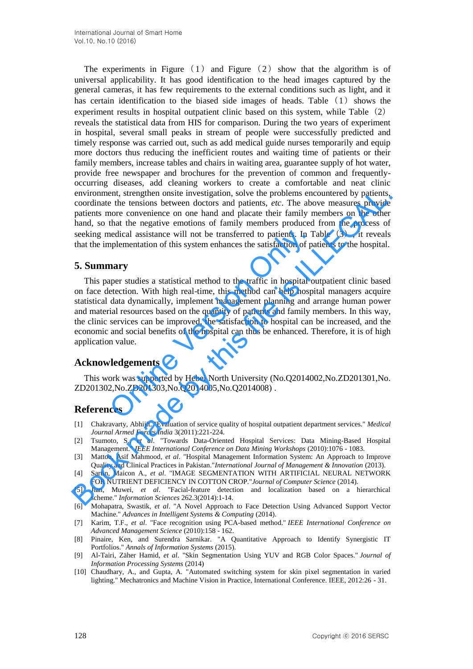The experiments in Figure  $(1)$  and Figure  $(2)$  show that the algorithm is of universal applicability. It has good identification to the head images captured by the general cameras, it has few requirements to the external conditions such as light, and it has certain identification to the biased side images of heads. Table  $(1)$  shows the experiment results in hospital outpatient clinic based on this system, while Table (2) reveals the statistical data from HIS for comparison. During the two years of experiment in hospital, several small peaks in stream of people were successfully predicted and timely response was carried out, such as add medical guide nurses temporarily and equip more doctors thus reducing the inefficient routes and waiting time of patients or their family members, increase tables and chairs in waiting area, guarantee supply of hot water, provide free newspaper and brochures for the prevention of common and frequentlyoccurring diseases, add cleaning workers to create a comfortable and neat clinic environment, strengthen onsite investigation, solve the problems encountered by patients, coordinate the tensions between doctors and patients, *etc*. The above measures provide patients more convenience on one hand and placate their family members on the other hand, so that the negative emotions of family members produced from the process of seeking medical assistance will not be transferred to patients. In Table  $(3)$ , it reveals that the implementation of this system enhances the satisfaction of patients to the hospital.

## **5. Summary**

This paper studies a statistical method to the traffic in hospital outpatient clinic based on face detection. With high real-time, this method can help hospital managers acquire statistical data dynamically, implement management planning and arrange human power and material resources based on the quantity of patients and family members. In this way, the clinic services can be improved, the satisfaction to hospital can be increased, and the economic and social benefits of the hospital can thus be enhanced. Therefore, it is of high application value. nedical assistance will not be transferred to patients. In T<br>nplementation of this system enhances the satisfaction of pa<br>**nary**<br>per studies a statistical method to the traffic in hospital o<br>etection. With high real-time, environment, strengthen onsite investigation, solve the problems encountered by patients,<br>coordinate the tensions between doctors and patients, etc. The above measures provide<br>ensists are convenience on one hand and placa

## **Acknowledgements**

This work was supported by Hebei North University (No.Q2014002,No.ZD201301,No. ZD201302,No.ZD201303,No.Q2014005,No.Q2014008) .

## **References**

- [1] Chakravarty, Abhijit. "Evaluation of service quality of hospital outpatient department services." *Medical Journal Armed Forces India* 3(2011):221-224.
- [2] Tsumoto, S., *et al*. "Towards Data-Oriented Hospital Services: Data Mining-Based Hospital Management." *IEEE International Conference on Data Mining Workshops* (2010):1076 - 1083.
- [3] Mattoo, Asif Mahmood, *et al*. "Hospital Management Information System: An Approach to Improve Quality and Clinical Practices in Pakistan."*International Journal of Management & Innovation* (2013).
- [4] Sartin, Maicon A., *et al*. "IMAGE SEGMENTATION WITH ARTIFICIAL NEURAL NETWORK FOR NUTRIENT DEFICIENCY IN COTTON CROP."*Journal of Computer Science* (2014).
- [5] Jian, Muwei, *et al*. "Facial-feature detection and localization based on a hierarchical scheme." *Information Sciences* 262.3(2014):1-14.
- [6] Mohapatra, Swastik, *et al*. "A Novel Approach to Face Detection Using Advanced Support Vector Machine." *Advances in Intelligent Systems & Computing* (2014).
- [7] Karim, T.F., *et al*. "Face recognition using PCA-based method." *IEEE International Conference on Advanced Management Science* (2010):158 - 162.
- [8] Pinaire, Ken, and Surendra Sarnikar. "A Quantitative Approach to Identify Synergistic IT Portfolios." *Annals of Information Systems* (2015).
- [9] Al-Tairi, Zäher Hamid, *et al*. "Skin Segmentation Using YUV and RGB Color Spaces." *Journal of Information Processing Systems* (2014)
- [10] Chaudhary, A., and Gupta, A. "Automated switching system for skin pixel segmentation in varied lighting." Mechatronics and Machine Vision in Practice, International Conference. IEEE, 2012:26 - 31.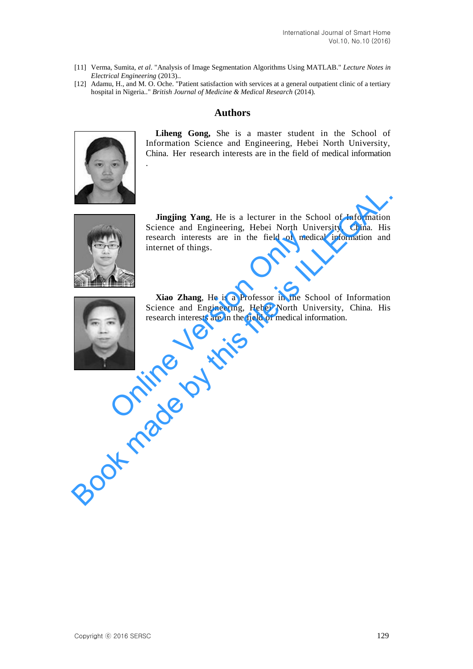- [11] Verma, Sumita, *et al*. "Analysis of Image Segmentation Algorithms Using MATLAB." *Lecture Notes in Electrical Engineering* (2013)..
- [12] Adamu, H., and M. O. Oche. "Patient satisfaction with services at a general outpatient clinic of a tertiary hospital in Nigeria.." *British Journal of Medicine & Medical Research* (2014).

## **Authors**



.

**Liheng Gong,** She is a master student in the School of Information Science and Engineering, Hebei North University, China. Her research interests are in the field of medical information



**Jingjing Yang**, He is a lecturer in the School of Information Science and Engineering, Hebei North University, China. His research interests are in the field of medical information and internet of things. Jingjing Yang, He is a lecturer in the School of Information<br>Science and Engineering, Hebei North University, China. His<br>internet of things.<br>Internet of things.<br>Internet of things.<br>Internet of things.<br>Internet and Engineer



**Xiao Zhang**, He is a Professor in the School of Information Science and Engineering, Hebei North University, China. His research interests are in the field of medical information. Free the interests are in the field of mediaternet of things.<br> **Xiao Zhang**, He is a Professor in the Scl<br>
Science and Engineering, Hebei North Universe<br>
The Science and Engineering, Hebei North Universe<br>
The field of medi